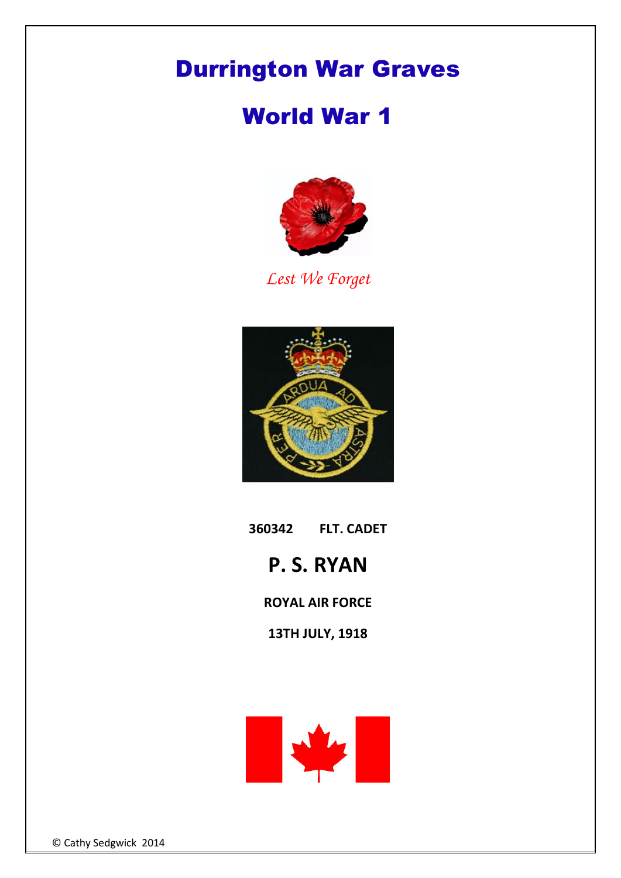## Durrington War Graves

## World War 1



*Lest We Forget*



**360342 FLT. CADET**

## **P. S. RYAN**

**ROYAL AIR FORCE**

**13TH JULY, 1918** 



© Cathy Sedgwick 2014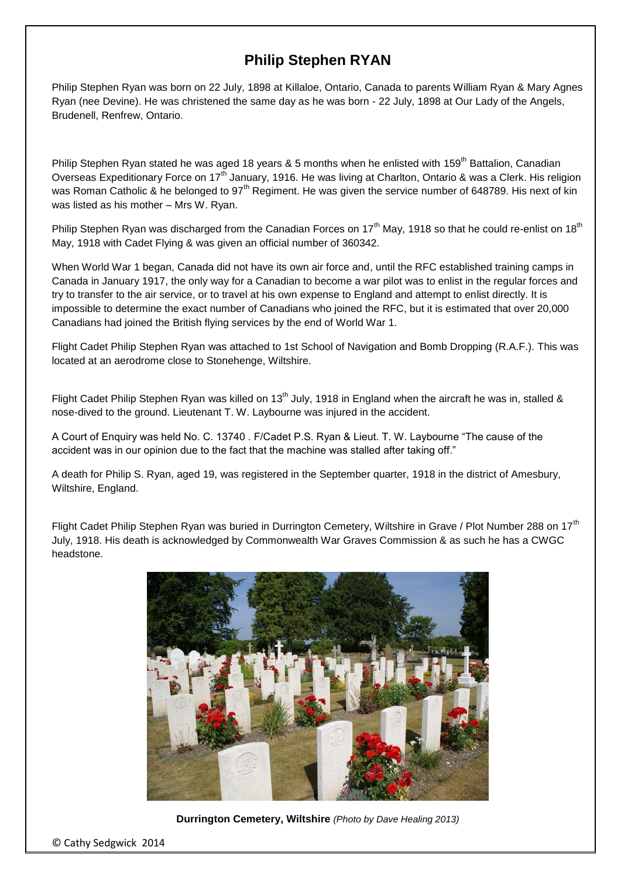## **Philip Stephen RYAN**

Philip Stephen Ryan was born on 22 July, 1898 at Killaloe, Ontario, Canada to parents William Ryan & Mary Agnes Ryan (nee Devine). He was christened the same day as he was born - 22 July, 1898 at Our Lady of the Angels, Brudenell, Renfrew, Ontario.

Philip Stephen Ryan stated he was aged 18 years & 5 months when he enlisted with 159<sup>th</sup> Battalion, Canadian Overseas Expeditionary Force on 17<sup>th</sup> January, 1916. He was living at Charlton, Ontario & was a Clerk. His religion was Roman Catholic & he belonged to 97<sup>th</sup> Regiment. He was given the service number of 648789. His next of kin was listed as his mother – Mrs W. Ryan.

Philip Stephen Ryan was discharged from the Canadian Forces on  $17<sup>th</sup>$  May, 1918 so that he could re-enlist on  $18<sup>th</sup>$ May, 1918 with Cadet Flying & was given an official number of 360342.

When World War 1 began, Canada did not have its own air force and, until the RFC established training camps in Canada in January 1917, the only way for a Canadian to become a war pilot was to enlist in the regular forces and try to transfer to the air service, or to travel at his own expense to England and attempt to enlist directly. It is impossible to determine the exact number of Canadians who joined the RFC, but it is estimated that over 20,000 Canadians had joined the British flying services by the end of World War 1.

Flight Cadet Philip Stephen Ryan was attached to 1st School of Navigation and Bomb Dropping (R.A.F.). This was located at an aerodrome close to Stonehenge, Wiltshire.

Flight Cadet Philip Stephen Ryan was killed on 13<sup>th</sup> July, 1918 in England when the aircraft he was in, stalled & nose-dived to the ground. Lieutenant T. W. Laybourne was injured in the accident.

A Court of Enquiry was held No. C. 13740 . F/Cadet P.S. Ryan & Lieut. T. W. Laybourne "The cause of the accident was in our opinion due to the fact that the machine was stalled after taking off."

A death for Philip S. Ryan, aged 19, was registered in the September quarter, 1918 in the district of Amesbury, Wiltshire, England.

Flight Cadet Philip Stephen Ryan was buried in Durrington Cemetery, Wiltshire in Grave / Plot Number 288 on 17<sup>th</sup> July, 1918. His death is acknowledged by Commonwealth War Graves Commission & as such he has a CWGC headstone.



**Durrington Cemetery, Wiltshire** *(Photo by Dave Healing 2013)*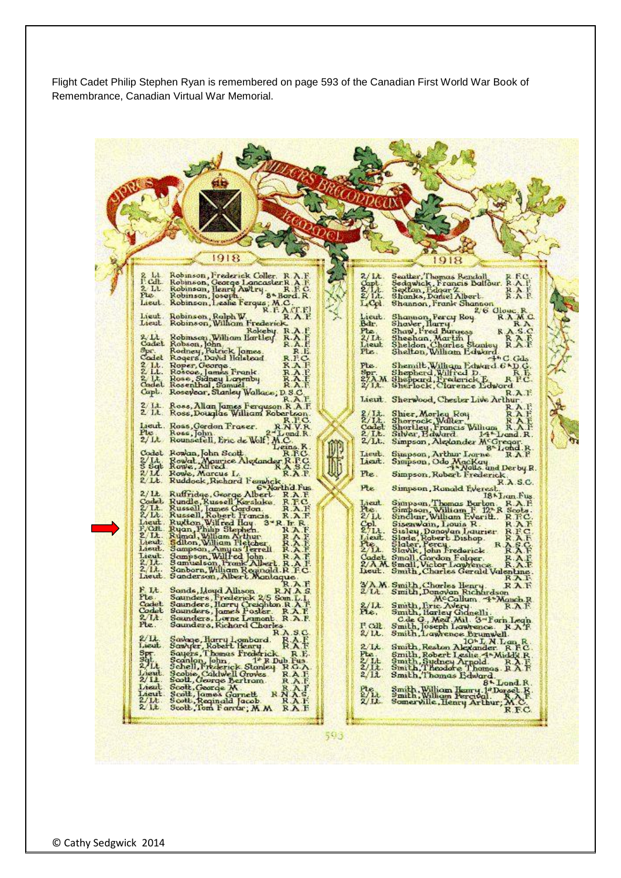Flight Cadet Philip Stephen Ryan is remembered on page 593 of the Canadian First World War Book of Remembrance, Canadian Virtual War Memorial.

1918 1918 Robinson, Frederick Coller, R.A.F.<br>Robinson, George Loncaster R.A.F.<br>Robinson, Henry Awtry, B.B.C.<br>Robinson, Joseph.<br>Robinson, Leslie Ferque, M.C.<br>Robinson, Rolph W. R.A.C.<br>Robinson, Rolph W. R.A.C.<br>Robinson, Wilhom Freder Seatter, Thomas Rendall R. R.C.<br>Seagwick, Francis Dalfour, R.A. P.<br>Sextan, Bdgar Z. R.A. P. R.A. P.  $/L$ Shanks, Daniel Albert.<br>Shannon, Frank Shannon.<br>2, 6 Oloy LCol Lieut. Robinson, Rolph W. K. P. A. P. A. P. A. P. A. P. A. P. A. P. A. P. A. P. A. P. A. P. A. P. A. P. A. P. Shannon, Percy Roy<br>Shaw, Fred Burgess<br>Shaw, Fred Burgess<br>Sheehan, Martin<br>Sheldon, Charles Stanley<br>Sheldon, William Edward Lieut.<br>Bdr. **R** A  $R<sub>n</sub>$ Lieut Robinson, Wilham Frederick<br>2. Lt. Robinson, Wilham Bartley<br>Cadet Robson, John<br>Cadet Robson, John<br>Cadet Robson, John<br>Cadet Robers, David Halekod<br>2. Lt. Rosee, Sidney Logenby<br>2. Lt. Rosee, Sidney Logenby<br>Capt. Rosee, S RAE Pte 11<br>11 Lieur<br>Pte  $\ddot{\mathbf{R}}$  $-4$ <sup>6</sup> C. Gd.  $R.F.$ RAFRAF Cadet Rosenthal, Samuel<br>Capt. Rosevear, Stanley Walkace, D. S.C.<br>R. A. F Capt. Roseyear, Stanley Walkace, D.S.C.<br>2. 14. Rose, Milan James Ferguson, R.A. F.<br>2. 14. Rose, Douglas William Robertson<br>1. Rose, Gordon Fraser. R.R.C.<br>2. R. Rose, John.<br>2. R. Rose, John. Sherwood, Chester Live Arthur<br>
Shirr, Morley Roy<br>
RAF<br>
Shortley, Francis Wilham<br>
RAF<br>
Shortley, Francis Wilham<br>
RAF<br>
Silver, Edward<br>
Simpson, Alexander McGregor<br>
Sunpson, Arthur Lorne<br>
RAF<br>
Sunpson, Arthur Lorne<br>
RAF  $\begin{array}{l} \text{2/L} \\ \text{2/L} \\ \text{Codd} \\ \text{2 L} \end{array}$  $2/L$ . Simpson, Arthur Lorne RAP<br>Simpson, Odo MacKay<br>Simpson, Odo MacKay<br>Simpson, Robert Frederick Lieut. Lieut. Pte. Simpson, Robert Frederick, T.A.S.C.<br>
Simpson, Ronald Fverest, T.A.S.C.<br>
Simpson, Thomas Borbon, R.A.S.C.<br>
Simpson, William F. 12-R Socks,<br>
Simpson, William F. 12-R Socks,<br>
Simpson, William F. 12-R Socks,<br>
Simpson, Jouis R. Pte. NAMe Smith, Charles Gerald Valentine<br>
MAMe Smith, Charles Gerald Valentine<br>
NAMe Smith, Charles Gerald Valentine<br>
NAMe Smith, Donovan Richardson<br>
McCallum 4\*Manch RAF<br>
McCallum 4\*Manch RAF<br>
Ext. Smith, Joseph Lawrence R.A. Savage, Harry Hombard, RASC, Savage, Harry Hombard, RASC, Samuel, John 1, RASC, Samuel, John 1, RASC, Samuel, Gallerick, RASC, Schell, George Bertram, RAAFF, Schell, George Bertram, RAAFF, Scott, George Bertram, RAAFF, Sco Lieut  $\frac{3}{2}$  $\frac{1}{2}$   $\frac{1}{1}$ Lieut<br>Lieut<br>2/14  $9/11$ 593